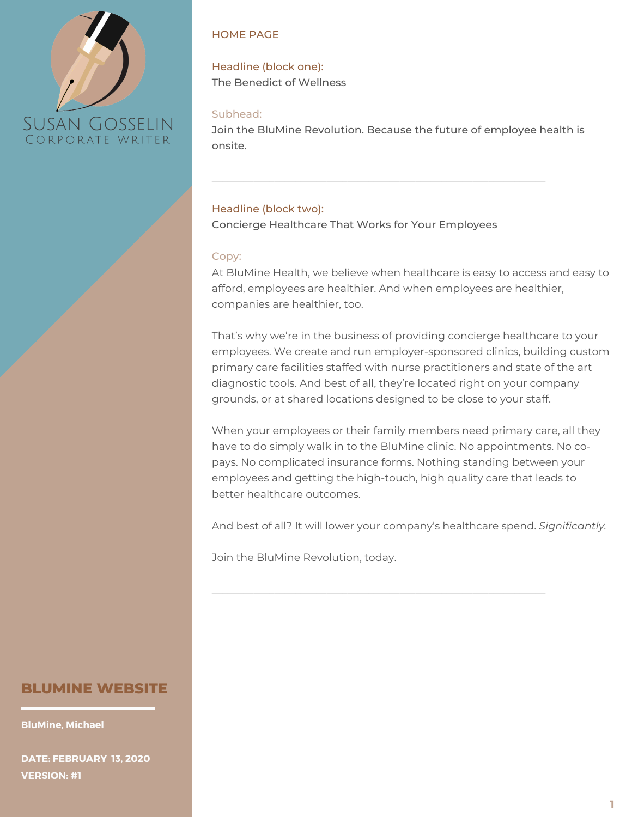

#### HOME PAGE

Headline (block one): The Benedict of Wellness

#### Subhead:

Join the BluMine Revolution. Because the future of employee health is onsite.

\_\_\_\_\_\_\_\_\_\_\_\_\_\_\_\_\_\_\_\_\_\_\_\_\_\_\_\_\_\_\_\_\_\_\_\_\_\_\_\_\_\_\_\_\_\_\_\_\_\_\_\_\_\_\_\_\_\_\_\_\_\_\_\_

## Headline (block two):

Concierge Healthcare That Works for Your Employees

#### Copy:

At BluMine Health, we believe when healthcare is easy to access and easy to afford, employees are healthier. And when employees are healthier, companies are healthier, too.

That's why we're in the business of providing concierge healthcare to your employees. We create and run employer-sponsored clinics, building custom primary care facilities staffed with nurse practitioners and state of the art diagnostic tools. And best of all, they're located right on your company grounds, or at shared locations designed to be close to your staff.

When your employees or their family members need primary care, all they have to do simply walk in to the BluMine clinic. No appointments. No copays. No complicated insurance forms. Nothing standing between your employees and getting the high-touch, high quality care that leads to better healthcare outcomes.

And best of all? It will lower your company's healthcare spend. *Significantly.*

\_\_\_\_\_\_\_\_\_\_\_\_\_\_\_\_\_\_\_\_\_\_\_\_\_\_\_\_\_\_\_\_\_\_\_\_\_\_\_\_\_\_\_\_\_\_\_\_\_\_\_\_\_\_\_\_\_\_\_\_\_\_\_\_

Join the BluMine Revolution, today.

# **BLUMINE WEBSITE**

**BluMine, Michael**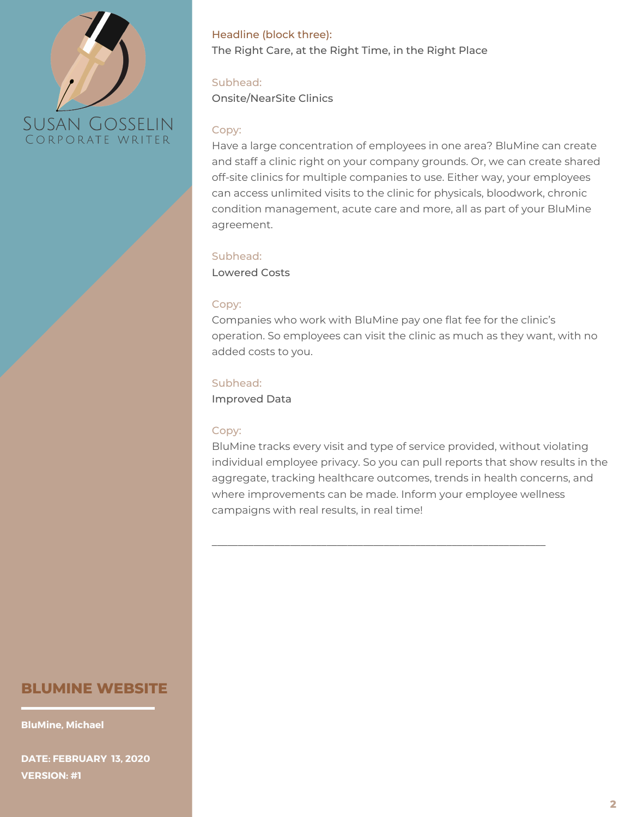

Headline (block three): The Right Care, at the Right Time, in the Right Place

## Subhead:

Onsite/NearSite Clinics

#### Copy:

Have a large concentration of employees in one area? BluMine can create and staff a clinic right on your company grounds. Or, we can create shared off-site clinics for multiple companies to use. Either way, your employees can access unlimited visits to the clinic for physicals, bloodwork, chronic condition management, acute care and more, all as part of your BluMine agreement.

#### Subhead:

Lowered Costs

#### Copy:

Companies who work with BluMine pay one flat fee for the clinic's operation. So employees can visit the clinic as much as they want, with no added costs to you.

#### Subhead:

Improved Data

#### Copy:

BluMine tracks every visit and type of service provided, without violating individual employee privacy. So you can pull reports that show results in the aggregate, tracking healthcare outcomes, trends in health concerns, and where improvements can be made. Inform your employee wellness campaigns with real results, in real time!

\_\_\_\_\_\_\_\_\_\_\_\_\_\_\_\_\_\_\_\_\_\_\_\_\_\_\_\_\_\_\_\_\_\_\_\_\_\_\_\_\_\_\_\_\_\_\_\_\_\_\_\_\_\_\_\_\_\_\_\_\_\_\_\_

# **BLUMINE WEBSITE**

**BluMine, Michael**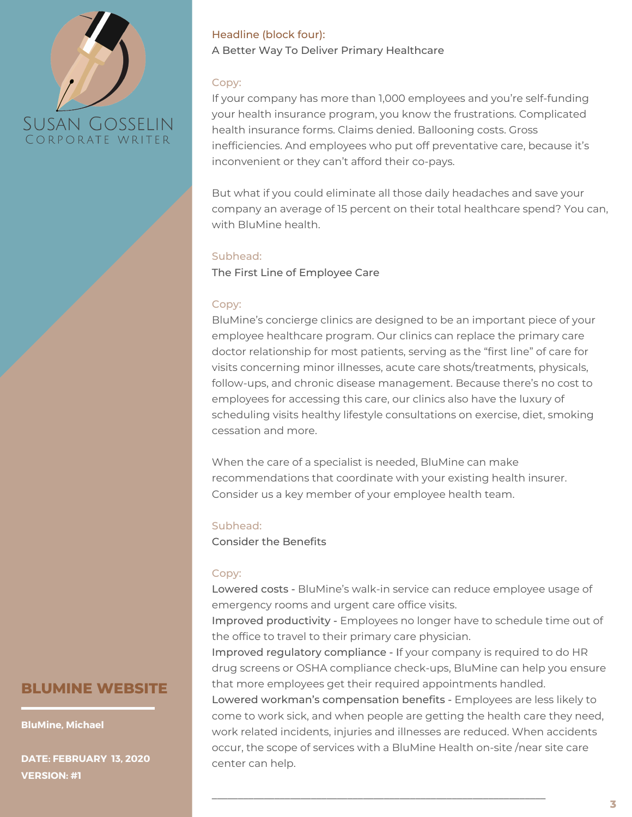# **SUSAN GOSSELIN** CORPORATE WRITER

# Headline (block four): A Better Way To Deliver Primary Healthcare

# Copy:

If your company has more than 1,000 employees and you're self-funding your health insurance program, you know the frustrations. Complicated health insurance forms. Claims denied. Ballooning costs. Gross inefficiencies. And employees who put off preventative care, because it's inconvenient or they can't afford their co-pays.

But what if you could eliminate all those daily headaches and save your company an average of 15 percent on their total healthcare spend? You can, with BluMine health.

#### Subhead:

The First Line of Employee Care

# Copy:

BluMine's concierge clinics are designed to be an important piece of your employee healthcare program. Our clinics can replace the primary care doctor relationship for most patients, serving as the "first line" of care for visits concerning minor illnesses, acute care shots/treatments, physicals, follow-ups, and chronic disease management. Because there's no cost to employees for accessing this care, our clinics also have the luxury of scheduling visits healthy lifestyle consultations on exercise, diet, smoking cessation and more.

When the care of a specialist is needed, BluMine can make recommendations that coordinate with your existing health insurer. Consider us a key member of your employee health team.

## Subhead:

Consider the Benefits

## Copy:

Lowered costs - BluMine's walk-in service can reduce employee usage of emergency rooms and urgent care office visits.

Improved productivity - Employees no longer have to schedule time out of the office to travel to their primary care physician.

Improved regulatory compliance - If your company is required to do HR drug screens or OSHA compliance check-ups, BluMine can help you ensure that more employees get their required appointments handled.

Lowered workman's compensation benefits - Employees are less likely to come to work sick, and when people are getting the health care they need, work related incidents, injuries and illnesses are reduced. When accidents occur, the scope of services with a BluMine Health on-site /near site care center can help.

\_\_\_\_\_\_\_\_\_\_\_\_\_\_\_\_\_\_\_\_\_\_\_\_\_\_\_\_\_\_\_\_\_\_\_\_\_\_\_\_\_\_\_\_\_\_\_\_\_\_\_\_\_\_\_\_\_\_\_\_\_\_\_\_

# **BLUMINE WEBSITE**

**BluMine, Michael**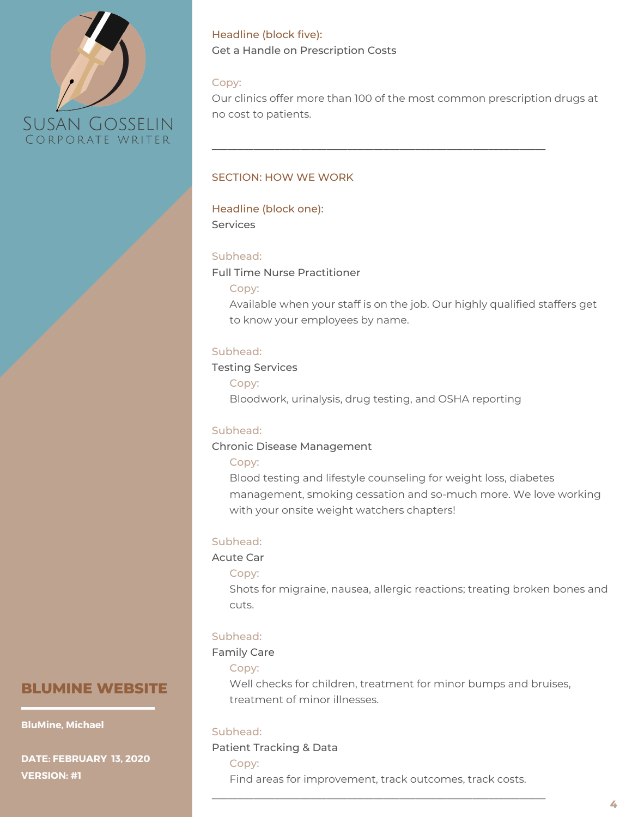

Headline (block five): Get a Handle on Prescription Costs

#### Copy:

Our clinics offer more than 100 of the most common prescription drugs at no cost to patients.

\_\_\_\_\_\_\_\_\_\_\_\_\_\_\_\_\_\_\_\_\_\_\_\_\_\_\_\_\_\_\_\_\_\_\_\_\_\_\_\_\_\_\_\_\_\_\_\_\_\_\_\_\_\_\_\_\_\_\_\_\_\_\_\_

#### SECTION: HOW WE WORK

#### Headline (block one): Services

#### Subhead:

Full Time Nurse Practitioner

#### Copy:

Available when your staff is on the job. Our highly qualified staffers get to know your employees by name.

#### Subhead:

#### Testing Services

Copy: Bloodwork, urinalysis, drug testing, and OSHA reporting

#### Subhead:

### Chronic Disease Management

#### Copy:

Blood testing and lifestyle counseling for weight loss, diabetes management, smoking cessation and so-much more. We love working with your onsite weight watchers chapters!

## Subhead:

Acute Car

#### Copy:

Shots for migraine, nausea, allergic reactions; treating broken bones and cuts.

#### Subhead:

#### Family Care

#### Copy:

Well checks for children, treatment for minor bumps and bruises, treatment of minor illnesses.

#### Subhead:

#### Patient Tracking & Data

Copy:

Find areas for improvement, track outcomes, track costs. \_\_\_\_\_\_\_\_\_\_\_\_\_\_\_\_\_\_\_\_\_\_\_\_\_\_\_\_\_\_\_\_\_\_\_\_\_\_\_\_\_\_\_\_\_\_\_\_\_\_\_\_\_\_\_\_\_\_\_\_\_\_\_\_

# **BLUMINE WEBSITE**

#### **BluMine, Michael**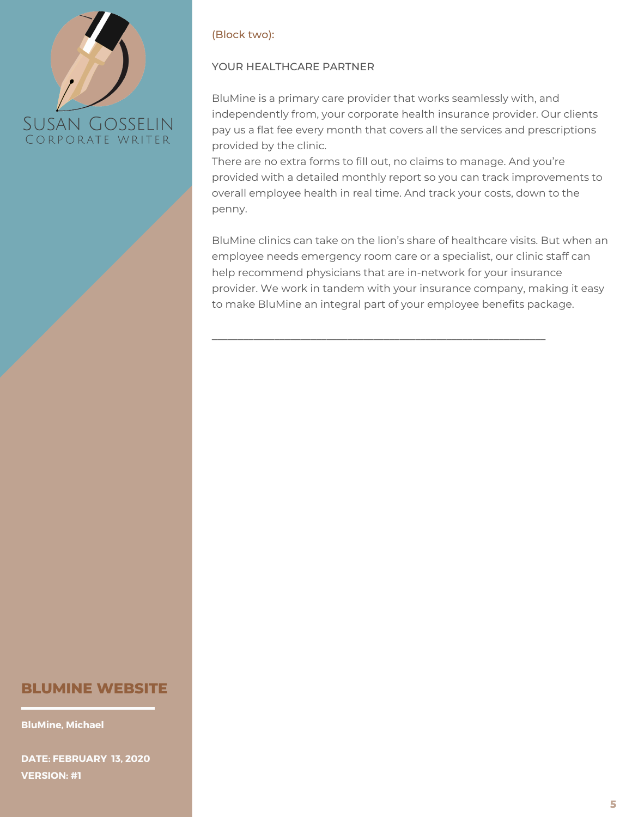

## (Block two):

# YOUR HEALTHCARE PARTNER

BluMine is a primary care provider that works seamlessly with, and independently from, your corporate health insurance provider. Our clients pay us a flat fee every month that covers all the services and prescriptions provided by the clinic.

There are no extra forms to fill out, no claims to manage. And you're provided with a detailed monthly report so you can track improvements to overall employee health in real time. And track your costs, down to the penny.

BluMine clinics can take on the lion's share of healthcare visits. But when an employee needs emergency room care or a specialist, our clinic staff can help recommend physicians that are in-network for your insurance provider. We work in tandem with your insurance company, making it easy to make BluMine an integral part of your employee benefits package.

\_\_\_\_\_\_\_\_\_\_\_\_\_\_\_\_\_\_\_\_\_\_\_\_\_\_\_\_\_\_\_\_\_\_\_\_\_\_\_\_\_\_\_\_\_\_\_\_\_\_\_\_\_\_\_\_\_\_\_\_\_\_\_\_

# **BLUMINE WEBSITE**

**BluMine, Michael**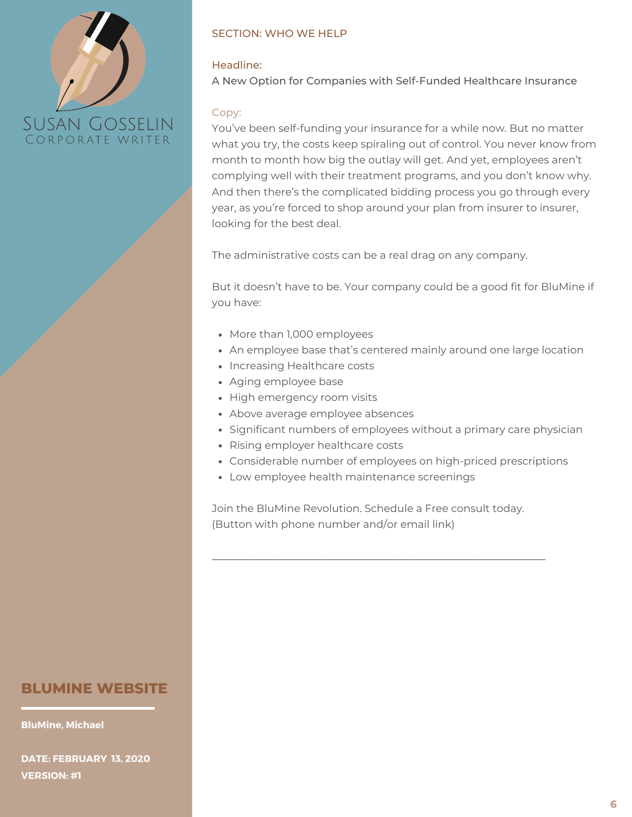

# SECTION: WHO WE HELP

# Headline:

A New Option for Companies with Self-Funded Healthcare Insurance

# Copy:

You've been self-funding your insurance for a while now. But no matter what you try, the costs keep spiraling out of control. You never know from month to month how big the outlay will get. And yet, employees aren't complying well with their treatment programs, and you don't know why. And then there's the complicated bidding process you go through every year, as you're forced to shop around your plan from insurer to insurer, looking for the best deal.

The administrative costs can be a real drag on any company.

But it doesn't have to be. Your company could be a good fit for BluMine if you have:

- More than 1,000 employees
- An employee base that's centered mainly around one large location
- Increasing Healthcare costs
- Aging employee base
- High emergency room visits
- Above average employee absences
- Significant numbers of employees without a primary care physician
- Rising employer healthcare costs
- Considerable number of employees on high-priced prescriptions
- Low employee health maintenance screenings

Join the BluMine Revolution. Schedule a Free consult today. (Button with phone number and/or email link)

\_\_\_\_\_\_\_\_\_\_\_\_\_\_\_\_\_\_\_\_\_\_\_\_\_\_\_\_\_\_\_\_\_\_\_\_\_\_\_\_\_\_\_\_\_\_\_\_\_\_\_\_\_\_\_\_\_\_\_\_\_\_\_\_

# **BLUMINE WEBSITE**

**BluMine, Michael**